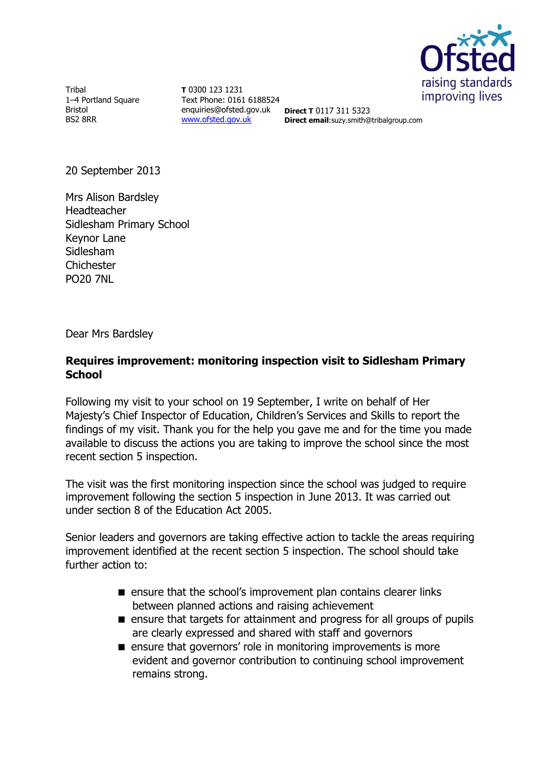

**Tribal** 1–4 Portland Square Bristol BS2 8RR

**T** 0300 123 1231 Text Phone: 0161 6188524 enquiries@ofsted.gov.uk **Direct T** 0117 311 5323 [www.ofsted.gov.uk](http://www.ofsted.gov.uk/)

**Direct email**:suzy.smith@tribalgroup.com

20 September 2013

Mrs Alison Bardsley Headteacher Sidlesham Primary School Keynor Lane Sidlesham **Chichester** PO20 7NL

Dear Mrs Bardsley

# **Requires improvement: monitoring inspection visit to Sidlesham Primary School**

Following my visit to your school on 19 September, I write on behalf of Her Majesty's Chief Inspector of Education, Children's Services and Skills to report the findings of my visit. Thank you for the help you gave me and for the time you made available to discuss the actions you are taking to improve the school since the most recent section 5 inspection.

The visit was the first monitoring inspection since the school was judged to require improvement following the section 5 inspection in June 2013. It was carried out under section 8 of the Education Act 2005.

Senior leaders and governors are taking effective action to tackle the areas requiring improvement identified at the recent section 5 inspection. The school should take further action to:

- **E** ensure that the school's improvement plan contains clearer links between planned actions and raising achievement
- ensure that targets for attainment and progress for all groups of pupils are clearly expressed and shared with staff and governors
- **E** ensure that governors' role in monitoring improvements is more evident and governor contribution to continuing school improvement remains strong.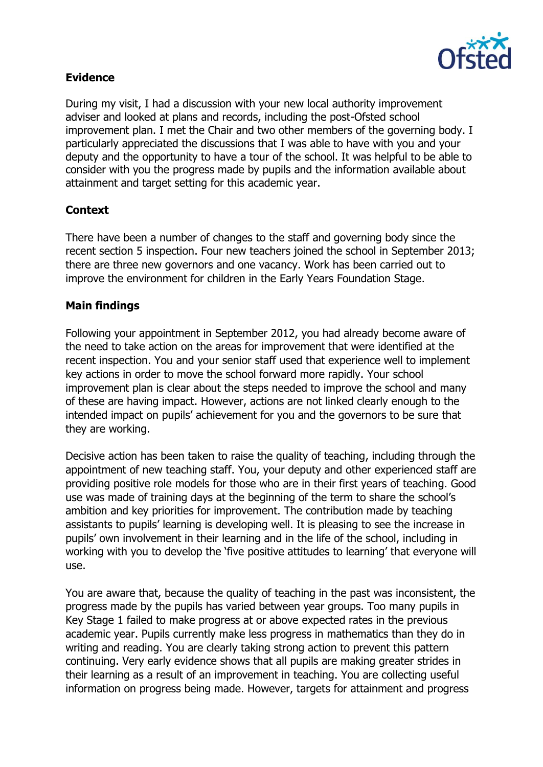

# **Evidence**

During my visit, I had a discussion with your new local authority improvement adviser and looked at plans and records, including the post-Ofsted school improvement plan. I met the Chair and two other members of the governing body. I particularly appreciated the discussions that I was able to have with you and your deputy and the opportunity to have a tour of the school. It was helpful to be able to consider with you the progress made by pupils and the information available about attainment and target setting for this academic year.

## **Context**

There have been a number of changes to the staff and governing body since the recent section 5 inspection. Four new teachers joined the school in September 2013; there are three new governors and one vacancy. Work has been carried out to improve the environment for children in the Early Years Foundation Stage.

## **Main findings**

Following your appointment in September 2012, you had already become aware of the need to take action on the areas for improvement that were identified at the recent inspection. You and your senior staff used that experience well to implement key actions in order to move the school forward more rapidly. Your school improvement plan is clear about the steps needed to improve the school and many of these are having impact. However, actions are not linked clearly enough to the intended impact on pupils' achievement for you and the governors to be sure that they are working.

Decisive action has been taken to raise the quality of teaching, including through the appointment of new teaching staff. You, your deputy and other experienced staff are providing positive role models for those who are in their first years of teaching. Good use was made of training days at the beginning of the term to share the school's ambition and key priorities for improvement. The contribution made by teaching assistants to pupils' learning is developing well. It is pleasing to see the increase in pupils' own involvement in their learning and in the life of the school, including in working with you to develop the 'five positive attitudes to learning' that everyone will use.

You are aware that, because the quality of teaching in the past was inconsistent, the progress made by the pupils has varied between year groups. Too many pupils in Key Stage 1 failed to make progress at or above expected rates in the previous academic year. Pupils currently make less progress in mathematics than they do in writing and reading. You are clearly taking strong action to prevent this pattern continuing. Very early evidence shows that all pupils are making greater strides in their learning as a result of an improvement in teaching. You are collecting useful information on progress being made. However, targets for attainment and progress